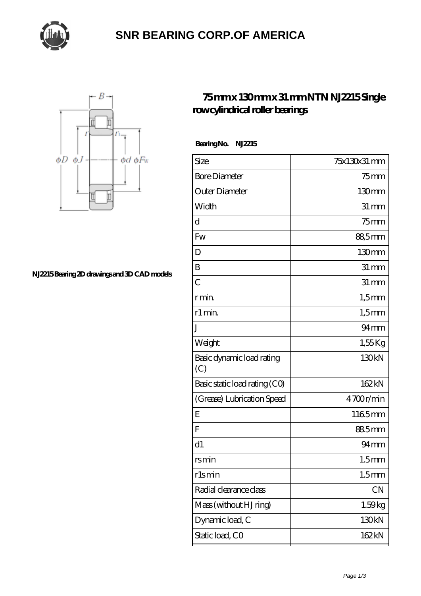

## **[SNR BEARING CORP.OF AMERICA](https://m.thebestofquebec.com)**



**[NJ2215 Bearing 2D drawings and 3D CAD models](https://m.thebestofquebec.com/pic-64978971.html)**

## **[75 mm x 130 mm x 31 mm NTN NJ2215 Single](https://m.thebestofquebec.com/aw-64978971-ntn-nj2215-single-row-cylindrical-roller-bearings.html) [row cylindrical roller bearings](https://m.thebestofquebec.com/aw-64978971-ntn-nj2215-single-row-cylindrical-roller-bearings.html)**

 **Bearing No. NJ2215**

| Size                             | 75x130x31 mm       |
|----------------------------------|--------------------|
| <b>Bore Diameter</b>             | 75 mm              |
| Outer Diameter                   | 130mm              |
| Width                            | $31 \, \text{mm}$  |
| d                                | $75$ mm            |
| Fw                               | 88,5mm             |
| D                                | 130 <sub>mm</sub>  |
| B                                | $31 \, \text{mm}$  |
| $\overline{C}$                   | $31 \,\mathrm{mm}$ |
| r min.                           | $1,5$ mm           |
| r1 min.                          | $1,5$ mm           |
| J                                | $94 \text{mm}$     |
| Weight                           | $1,55$ Kg          |
| Basic dynamic load rating<br>(C) | 130kN              |
| Basic static load rating (CO)    | 162kN              |
| (Grease) Lubrication Speed       | 4700r/min          |
| E                                | 1165mm             |
| F                                | 885mm              |
| d1                               | $94 \text{mm}$     |
| rsmin                            | 1.5 <sub>mm</sub>  |
| rlsmin                           | 1.5 <sub>mm</sub>  |
| Radial clearance class           | CN                 |
| Mass (without HJ ring)           | 1.59kg             |
| Dynamic load, C                  | 130kN              |
| Static load, CO                  | 162kN              |
|                                  |                    |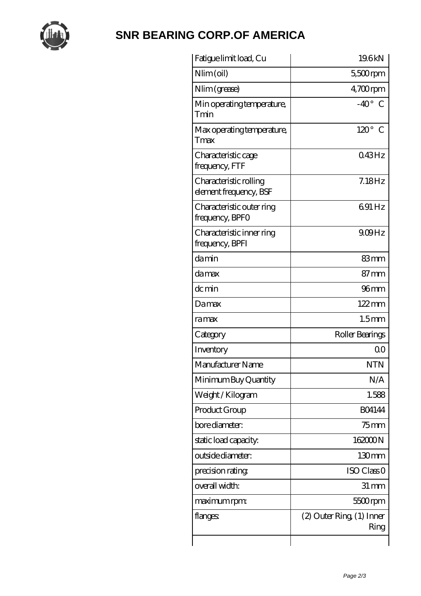

## **[SNR BEARING CORP.OF AMERICA](https://m.thebestofquebec.com)**

| Fatigue limit load, Cu                           | 19.6kN                           |
|--------------------------------------------------|----------------------------------|
| Nlim (oil)                                       | $5500$ rpm                       |
| Nlim (grease)                                    | $4,700$ rpm                      |
| Min operating temperature,<br>Tmin               | $-40^{\circ}$<br>€               |
| Max operating temperature,<br>Tmax               | $120^\circ$<br>C                 |
| Characteristic cage<br>frequency, FTF            | 043Hz                            |
| Characteristic rolling<br>element frequency, BSF | $7.18$ Hz                        |
| Characteristic outer ring<br>frequency, BPFO     | 691 Hz                           |
| Characteristic inner ring<br>frequency, BPFI     | $909$ Hz                         |
| damin                                            | 83mm                             |
| damax                                            | $87 \text{mm}$                   |
| dc min                                           | $96$ mm                          |
| Damax                                            | $122 \,\mathrm{mm}$              |
| ramax                                            | 1.5 <sub>mm</sub>                |
| Category                                         | Roller Bearings                  |
| Inventory                                        | 0 <sup>0</sup>                   |
| Manufacturer Name                                | <b>NTN</b>                       |
| Minimum Buy Quantity                             | N/A                              |
| Weight / Kilogram                                | 1.588                            |
| Product Group                                    | <b>BO4144</b>                    |
| bore diameter:                                   | $75$ mm                          |
| static load capacity.                            | 16200N                           |
| outside diameter:                                | 130mm                            |
| precision rating                                 | ISO Class O                      |
| overall width:                                   | 31 mm                            |
| maximum rpm:                                     | $5500$ rpm                       |
| flanges:                                         | (2) Outer Ring (1) Inner<br>Ring |
|                                                  |                                  |